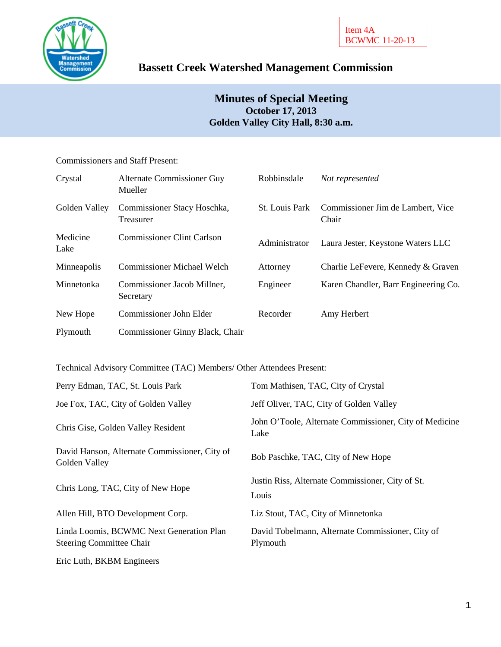

# **Bassett Creek Watershed Management Commission**

## **Minutes of Special Meeting October 17, 2013 Golden Valley City Hall, 8:30 a.m.**

Commissioners and Staff Present:

| Crystal          | Alternate Commissioner Guy<br>Mueller    | Robbinsdale           | Not represented                            |
|------------------|------------------------------------------|-----------------------|--------------------------------------------|
| Golden Valley    | Commissioner Stacy Hoschka,<br>Treasurer | <b>St.</b> Louis Park | Commissioner Jim de Lambert, Vice<br>Chair |
| Medicine<br>Lake | <b>Commissioner Clint Carlson</b>        | Administrator         | Laura Jester, Keystone Waters LLC          |
| Minneapolis      | <b>Commissioner Michael Welch</b>        | Attorney              | Charlie LeFevere, Kennedy & Graven         |
| Minnetonka       | Commissioner Jacob Millner,<br>Secretary | Engineer              | Karen Chandler, Barr Engineering Co.       |
| New Hope         | Commissioner John Elder                  | Recorder              | Amy Herbert                                |
| Plymouth         | Commissioner Ginny Black, Chair          |                       |                                            |

Technical Advisory Committee (TAC) Members/ Other Attendees Present:

| Perry Edman, TAC, St. Louis Park                                            | Tom Mathisen, TAC, City of Crystal                             |
|-----------------------------------------------------------------------------|----------------------------------------------------------------|
| Joe Fox, TAC, City of Golden Valley                                         | Jeff Oliver, TAC, City of Golden Valley                        |
| Chris Gise, Golden Valley Resident                                          | John O'Toole, Alternate Commissioner, City of Medicine<br>Lake |
| David Hanson, Alternate Commissioner, City of<br>Golden Valley              | Bob Paschke, TAC, City of New Hope                             |
| Chris Long, TAC, City of New Hope                                           | Justin Riss, Alternate Commissioner, City of St.<br>Louis      |
| Allen Hill, BTO Development Corp.                                           | Liz Stout, TAC, City of Minnetonka                             |
| Linda Loomis, BCWMC Next Generation Plan<br><b>Steering Committee Chair</b> | David Tobelmann, Alternate Commissioner, City of<br>Plymouth   |
| Eric Luth, BKBM Engineers                                                   |                                                                |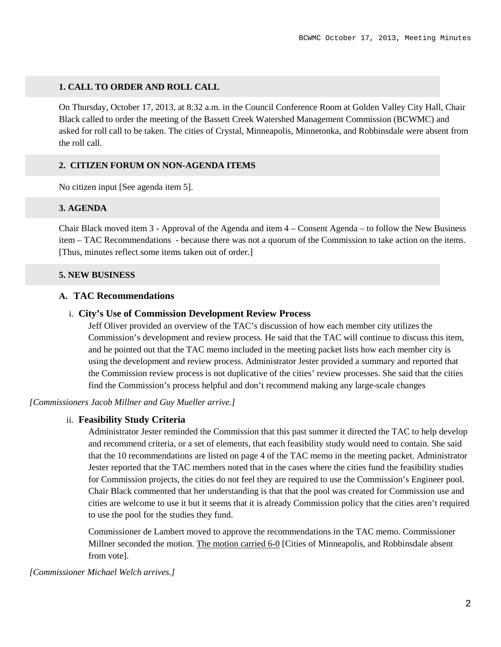## **1. CALL TO ORDER AND ROLL CALL**

On Thursday, October 17, 2013, at 8:32 a.m. in the Council Conference Room at Golden Valley City Hall, Chair Black called to order the meeting of the Bassett Creek Watershed Management Commission (BCWMC) and asked for roll call to be taken. The cities of Crystal, Minneapolis, Minnetonka, and Robbinsdale were absent from the roll call.

## **2. CITIZEN FORUM ON NON-AGENDA ITEMS**

No citizen input [See agenda item 5].

## **3. AGENDA**

Chair Black moved item 3 - Approval of the Agenda and item 4 – Consent Agenda – to follow the New Business item – TAC Recommendations - because there was not a quorum of the Commission to take action on the items. [Thus, minutes reflect some items taken out of order.]

## **5. NEW BUSINESS**

## **A. TAC Recommendations**

## i. **City's Use of Commission Development Review Process**

Jeff Oliver provided an overview of the TAC's discussion of how each member city utilizes the Commission's development and review process. He said that the TAC will continue to discuss this item, and he pointed out that the TAC memo included in the meeting packet lists how each member city is using the development and review process. Administrator Jester provided a summary and reported that the Commission review process is not duplicative of the cities' review processes. She said that the cities find the Commission's process helpful and don't recommend making any large-scale changes

*[Commissioners Jacob Millner and Guy Mueller arrive.]*

## ii. **Feasibility Study Criteria**

Administrator Jester reminded the Commission that this past summer it directed the TAC to help develop and recommend criteria, or a set of elements, that each feasibility study would need to contain. She said that the 10 recommendations are listed on page 4 of the TAC memo in the meeting packet. Administrator Jester reported that the TAC members noted that in the cases where the cities fund the feasibility studies for Commission projects, the cities do not feel they are required to use the Commission's Engineer pool. Chair Black commented that her understanding is that that the pool was created for Commission use and cities are welcome to use it but it seems that it is already Commission policy that the cities aren't required to use the pool for the studies they fund.

Commissioner de Lambert moved to approve the recommendations in the TAC memo. Commissioner Millner seconded the motion. The motion carried 6-0 [Cities of Minneapolis, and Robbinsdale absent from vote].

*[Commissioner Michael Welch arrives.]*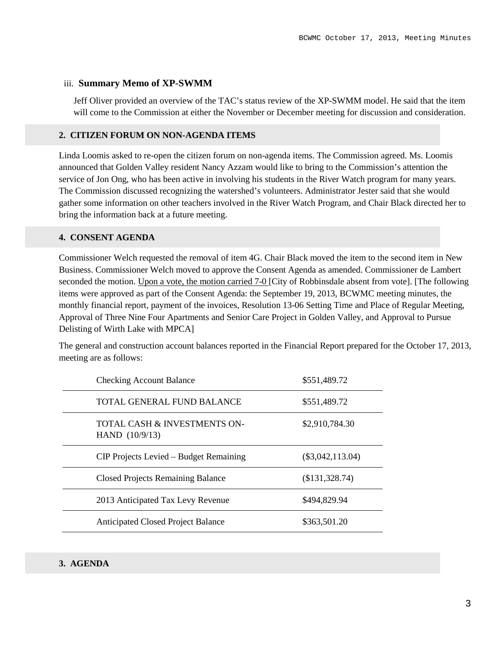## iii. **Summary Memo of XP-SWMM**

Jeff Oliver provided an overview of the TAC's status review of the XP-SWMM model. He said that the item will come to the Commission at either the November or December meeting for discussion and consideration.

## **2. CITIZEN FORUM ON NON-AGENDA ITEMS**

Linda Loomis asked to re-open the citizen forum on non-agenda items. The Commission agreed. Ms. Loomis announced that Golden Valley resident Nancy Azzam would like to bring to the Commission's attention the service of Jon Ong, who has been active in involving his students in the River Watch program for many years. The Commission discussed recognizing the watershed's volunteers. Administrator Jester said that she would gather some information on other teachers involved in the River Watch Program, and Chair Black directed her to bring the information back at a future meeting.

## **4. CONSENT AGENDA**

Commissioner Welch requested the removal of item 4G. Chair Black moved the item to the second item in New Business. Commissioner Welch moved to approve the Consent Agenda as amended. Commissioner de Lambert seconded the motion. Upon a vote, the motion carried 7-0 [City of Robbinsdale absent from vote]. [The following items were approved as part of the Consent Agenda: the September 19, 2013, BCWMC meeting minutes, the monthly financial report, payment of the invoices, Resolution 13-06 Setting Time and Place of Regular Meeting, Approval of Three Nine Four Apartments and Senior Care Project in Golden Valley, and Approval to Pursue Delisting of Wirth Lake with MPCA]

The general and construction account balances reported in the Financial Report prepared for the October 17, 2013, meeting are as follows:

| <b>Checking Account Balance</b>                | \$551,489.72       |
|------------------------------------------------|--------------------|
| TOTAL GENERAL FUND BALANCE                     | \$551,489.72       |
| TOTAL CASH & INVESTMENTS ON-<br>HAND (10/9/13) | \$2,910,784.30     |
| CIP Projects Levied – Budget Remaining         | $(\$3,042,113.04)$ |
| <b>Closed Projects Remaining Balance</b>       | (\$131,328.74)     |
| 2013 Anticipated Tax Levy Revenue              | \$494,829.94       |
| <b>Anticipated Closed Project Balance</b>      | \$363,501.20       |

## **3. AGENDA**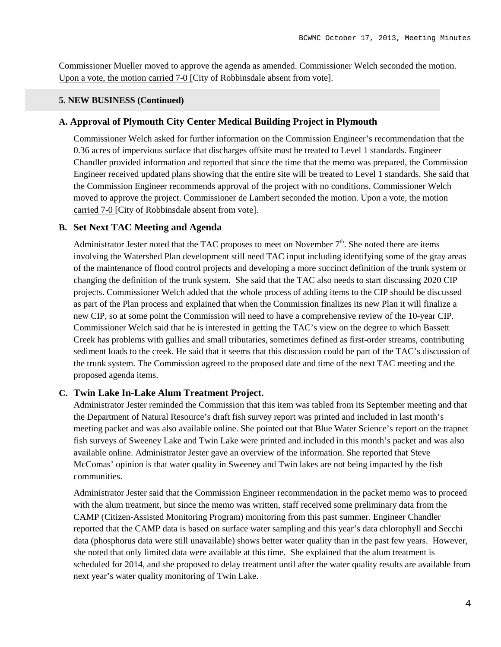Commissioner Mueller moved to approve the agenda as amended. Commissioner Welch seconded the motion. Upon a vote, the motion carried 7-0 [City of Robbinsdale absent from vote].

#### **5. NEW BUSINESS (Continued)**

## **A. Approval of Plymouth City Center Medical Building Project in Plymouth**

Commissioner Welch asked for further information on the Commission Engineer's recommendation that the 0.36 acres of impervious surface that discharges offsite must be treated to Level 1 standards. Engineer Chandler provided information and reported that since the time that the memo was prepared, the Commission Engineer received updated plans showing that the entire site will be treated to Level 1 standards. She said that the Commission Engineer recommends approval of the project with no conditions. Commissioner Welch moved to approve the project. Commissioner de Lambert seconded the motion. Upon a vote, the motion carried 7-0 [City of Robbinsdale absent from vote].

#### **B. Set Next TAC Meeting and Agenda**

Administrator Jester noted that the TAC proposes to meet on November  $7<sup>th</sup>$ . She noted there are items involving the Watershed Plan development still need TAC input including identifying some of the gray areas of the maintenance of flood control projects and developing a more succinct definition of the trunk system or changing the definition of the trunk system. She said that the TAC also needs to start discussing 2020 CIP projects. Commissioner Welch added that the whole process of adding items to the CIP should be discussed as part of the Plan process and explained that when the Commission finalizes its new Plan it will finalize a new CIP, so at some point the Commission will need to have a comprehensive review of the 10-year CIP. Commissioner Welch said that he is interested in getting the TAC's view on the degree to which Bassett Creek has problems with gullies and small tributaries, sometimes defined as first-order streams, contributing sediment loads to the creek. He said that it seems that this discussion could be part of the TAC's discussion of the trunk system. The Commission agreed to the proposed date and time of the next TAC meeting and the proposed agenda items.

#### **C. Twin Lake In-Lake Alum Treatment Project.**

Administrator Jester reminded the Commission that this item was tabled from its September meeting and that the Department of Natural Resource's draft fish survey report was printed and included in last month's meeting packet and was also available online. She pointed out that Blue Water Science's report on the trapnet fish surveys of Sweeney Lake and Twin Lake were printed and included in this month's packet and was also available online. Administrator Jester gave an overview of the information. She reported that Steve McComas' opinion is that water quality in Sweeney and Twin lakes are not being impacted by the fish communities.

Administrator Jester said that the Commission Engineer recommendation in the packet memo was to proceed with the alum treatment, but since the memo was written, staff received some preliminary data from the CAMP (Citizen-Assisted Monitoring Program) monitoring from this past summer. Engineer Chandler reported that the CAMP data is based on surface water sampling and this year's data chlorophyll and Secchi data (phosphorus data were still unavailable) shows better water quality than in the past few years. However, she noted that only limited data were available at this time. She explained that the alum treatment is scheduled for 2014, and she proposed to delay treatment until after the water quality results are available from next year's water quality monitoring of Twin Lake.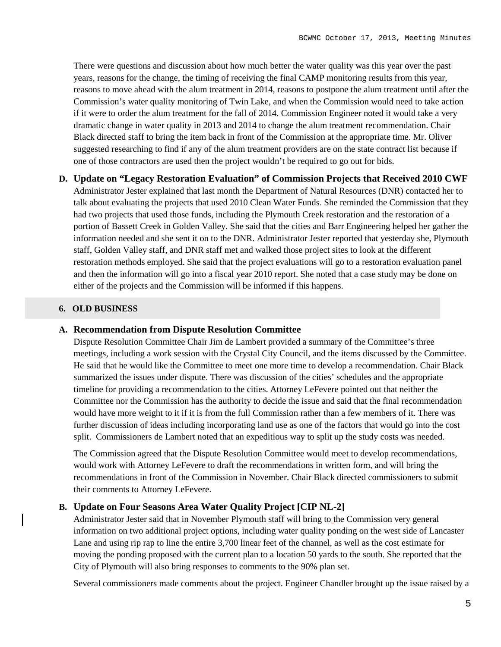There were questions and discussion about how much better the water quality was this year over the past years, reasons for the change, the timing of receiving the final CAMP monitoring results from this year, reasons to move ahead with the alum treatment in 2014, reasons to postpone the alum treatment until after the Commission's water quality monitoring of Twin Lake, and when the Commission would need to take action if it were to order the alum treatment for the fall of 2014. Commission Engineer noted it would take a very dramatic change in water quality in 2013 and 2014 to change the alum treatment recommendation. Chair Black directed staff to bring the item back in front of the Commission at the appropriate time. Mr. Oliver suggested researching to find if any of the alum treatment providers are on the state contract list because if one of those contractors are used then the project wouldn't be required to go out for bids.

## **D. Update on "Legacy Restoration Evaluation" of Commission Projects that Received 2010 CWF**

Administrator Jester explained that last month the Department of Natural Resources (DNR) contacted her to talk about evaluating the projects that used 2010 Clean Water Funds. She reminded the Commission that they had two projects that used those funds, including the Plymouth Creek restoration and the restoration of a portion of Bassett Creek in Golden Valley. She said that the cities and Barr Engineering helped her gather the information needed and she sent it on to the DNR. Administrator Jester reported that yesterday she, Plymouth staff, Golden Valley staff, and DNR staff met and walked those project sites to look at the different restoration methods employed. She said that the project evaluations will go to a restoration evaluation panel and then the information will go into a fiscal year 2010 report. She noted that a case study may be done on either of the projects and the Commission will be informed if this happens.

#### **6. OLD BUSINESS**

#### **A. Recommendation from Dispute Resolution Committee**

Dispute Resolution Committee Chair Jim de Lambert provided a summary of the Committee's three meetings, including a work session with the Crystal City Council, and the items discussed by the Committee. He said that he would like the Committee to meet one more time to develop a recommendation. Chair Black summarized the issues under dispute. There was discussion of the cities' schedules and the appropriate timeline for providing a recommendation to the cities. Attorney LeFevere pointed out that neither the Committee nor the Commission has the authority to decide the issue and said that the final recommendation would have more weight to it if it is from the full Commission rather than a few members of it. There was further discussion of ideas including incorporating land use as one of the factors that would go into the cost split. Commissioners de Lambert noted that an expeditious way to split up the study costs was needed.

The Commission agreed that the Dispute Resolution Committee would meet to develop recommendations, would work with Attorney LeFevere to draft the recommendations in written form, and will bring the recommendations in front of the Commission in November. Chair Black directed commissioners to submit their comments to Attorney LeFevere.

#### **B. Update on Four Seasons Area Water Quality Project [CIP NL-2]**

Administrator Jester said that in November Plymouth staff will bring to the Commission very general information on two additional project options, including water quality ponding on the west side of Lancaster Lane and using rip rap to line the entire 3,700 linear feet of the channel, as well as the cost estimate for moving the ponding proposed with the current plan to a location 50 yards to the south. She reported that the City of Plymouth will also bring responses to comments to the 90% plan set.

Several commissioners made comments about the project. Engineer Chandler brought up the issue raised by a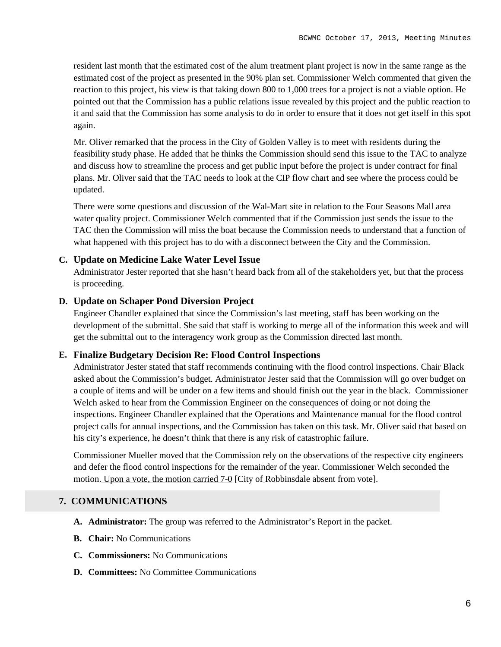resident last month that the estimated cost of the alum treatment plant project is now in the same range as the estimated cost of the project as presented in the 90% plan set. Commissioner Welch commented that given the reaction to this project, his view is that taking down 800 to 1,000 trees for a project is not a viable option. He pointed out that the Commission has a public relations issue revealed by this project and the public reaction to it and said that the Commission has some analysis to do in order to ensure that it does not get itself in this spot again.

Mr. Oliver remarked that the process in the City of Golden Valley is to meet with residents during the feasibility study phase. He added that he thinks the Commission should send this issue to the TAC to analyze and discuss how to streamline the process and get public input before the project is under contract for final plans. Mr. Oliver said that the TAC needs to look at the CIP flow chart and see where the process could be updated.

There were some questions and discussion of the Wal-Mart site in relation to the Four Seasons Mall area water quality project. Commissioner Welch commented that if the Commission just sends the issue to the TAC then the Commission will miss the boat because the Commission needs to understand that a function of what happened with this project has to do with a disconnect between the City and the Commission.

#### **C. Update on Medicine Lake Water Level Issue**

Administrator Jester reported that she hasn't heard back from all of the stakeholders yet, but that the process is proceeding.

## **D. Update on Schaper Pond Diversion Project**

Engineer Chandler explained that since the Commission's last meeting, staff has been working on the development of the submittal. She said that staff is working to merge all of the information this week and will get the submittal out to the interagency work group as the Commission directed last month.

## **E. Finalize Budgetary Decision Re: Flood Control Inspections**

Administrator Jester stated that staff recommends continuing with the flood control inspections. Chair Black asked about the Commission's budget. Administrator Jester said that the Commission will go over budget on a couple of items and will be under on a few items and should finish out the year in the black. Commissioner Welch asked to hear from the Commission Engineer on the consequences of doing or not doing the inspections. Engineer Chandler explained that the Operations and Maintenance manual for the flood control project calls for annual inspections, and the Commission has taken on this task. Mr. Oliver said that based on his city's experience, he doesn't think that there is any risk of catastrophic failure.

Commissioner Mueller moved that the Commission rely on the observations of the respective city engineers and defer the flood control inspections for the remainder of the year. Commissioner Welch seconded the motion. Upon a vote, the motion carried 7-0 [City of Robbinsdale absent from vote].

#### **7. COMMUNICATIONS**

- **A. Administrator:** The group was referred to the Administrator's Report in the packet.
- **B. Chair:** No Communications
- **C. Commissioners:** No Communications
- **D. Committees:** No Committee Communications